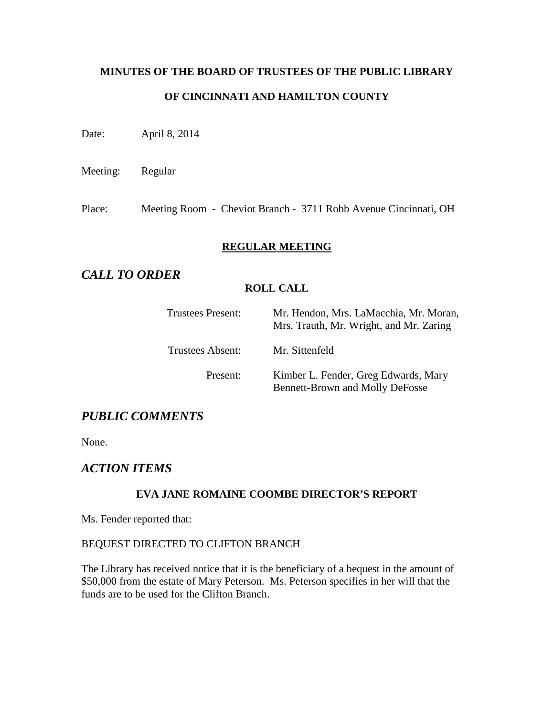# **MINUTES OF THE BOARD OF TRUSTEES OF THE PUBLIC LIBRARY OF CINCINNATI AND HAMILTON COUNTY**

Date: April 8, 2014

Meeting: Regular

Place: Meeting Room - Cheviot Branch - 3711 Robb Avenue Cincinnati, OH

## **REGULAR MEETING**

# *CALL TO ORDER*

## **ROLL CALL**

| <b>Trustees Present:</b> | Mr. Hendon, Mrs. LaMacchia, Mr. Moran,<br>Mrs. Trauth, Mr. Wright, and Mr. Zaring |
|--------------------------|-----------------------------------------------------------------------------------|
| Trustees Absent:         | Mr. Sittenfeld                                                                    |
| Present:                 | Kimber L. Fender, Greg Edwards, Mary<br><b>Bennett-Brown and Molly DeFosse</b>    |

# *PUBLIC COMMENTS*

None.

# *ACTION ITEMS*

## **EVA JANE ROMAINE COOMBE DIRECTOR'S REPORT**

Ms. Fender reported that:

#### BEQUEST DIRECTED TO CLIFTON BRANCH

The Library has received notice that it is the beneficiary of a bequest in the amount of \$50,000 from the estate of Mary Peterson. Ms. Peterson specifies in her will that the funds are to be used for the Clifton Branch.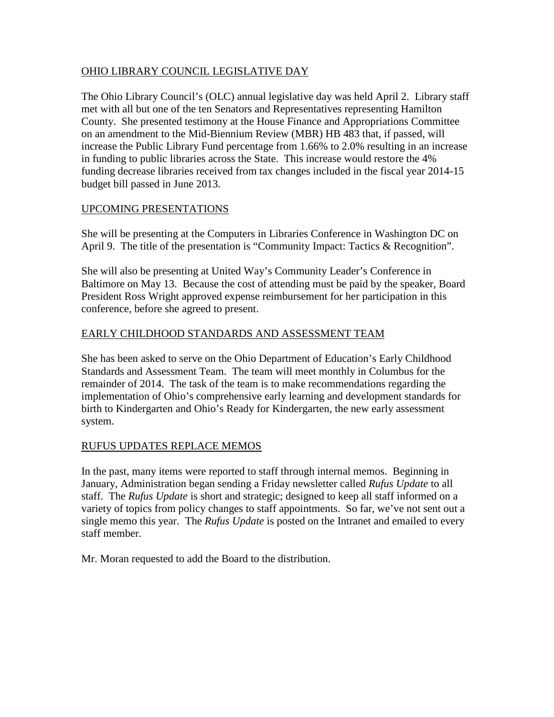## OHIO LIBRARY COUNCIL LEGISLATIVE DAY

The Ohio Library Council's (OLC) annual legislative day was held April 2. Library staff met with all but one of the ten Senators and Representatives representing Hamilton County. She presented testimony at the House Finance and Appropriations Committee on an amendment to the Mid-Biennium Review (MBR) HB 483 that, if passed, will increase the Public Library Fund percentage from 1.66% to 2.0% resulting in an increase in funding to public libraries across the State. This increase would restore the 4% funding decrease libraries received from tax changes included in the fiscal year 2014-15 budget bill passed in June 2013.

## UPCOMING PRESENTATIONS

She will be presenting at the Computers in Libraries Conference in Washington DC on April 9. The title of the presentation is "Community Impact: Tactics & Recognition".

She will also be presenting at United Way's Community Leader's Conference in Baltimore on May 13. Because the cost of attending must be paid by the speaker, Board President Ross Wright approved expense reimbursement for her participation in this conference, before she agreed to present.

## EARLY CHILDHOOD STANDARDS AND ASSESSMENT TEAM

She has been asked to serve on the Ohio Department of Education's Early Childhood Standards and Assessment Team. The team will meet monthly in Columbus for the remainder of 2014. The task of the team is to make recommendations regarding the implementation of Ohio's comprehensive early learning and development standards for birth to Kindergarten and Ohio's Ready for Kindergarten, the new early assessment system.

## RUFUS UPDATES REPLACE MEMOS

In the past, many items were reported to staff through internal memos. Beginning in January, Administration began sending a Friday newsletter called *Rufus Update* to all staff. The *Rufus Update* is short and strategic; designed to keep all staff informed on a variety of topics from policy changes to staff appointments. So far, we've not sent out a single memo this year. The *Rufus Update* is posted on the Intranet and emailed to every staff member.

Mr. Moran requested to add the Board to the distribution.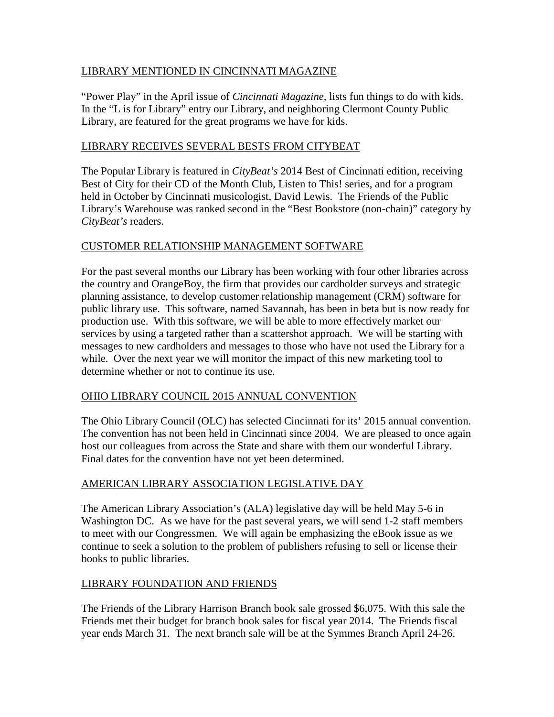## LIBRARY MENTIONED IN CINCINNATI MAGAZINE

"Power Play" in the April issue of *Cincinnati Magazine,* lists fun things to do with kids. In the "L is for Library" entry our Library, and neighboring Clermont County Public Library, are featured for the great programs we have for kids.

## LIBRARY RECEIVES SEVERAL BESTS FROM CITYBEAT

The Popular Library is featured in *CityBeat's* 2014 Best of Cincinnati edition, receiving Best of City for their CD of the Month Club, Listen to This! series, and for a program held in October by Cincinnati musicologist, David Lewis. The Friends of the Public Library's Warehouse was ranked second in the "Best Bookstore (non-chain)" category by *CityBeat's* readers.

## CUSTOMER RELATIONSHIP MANAGEMENT SOFTWARE

For the past several months our Library has been working with four other libraries across the country and OrangeBoy, the firm that provides our cardholder surveys and strategic planning assistance, to develop customer relationship management (CRM) software for public library use. This software, named Savannah, has been in beta but is now ready for production use. With this software, we will be able to more effectively market our services by using a targeted rather than a scattershot approach. We will be starting with messages to new cardholders and messages to those who have not used the Library for a while. Over the next year we will monitor the impact of this new marketing tool to determine whether or not to continue its use.

## OHIO LIBRARY COUNCIL 2015 ANNUAL CONVENTION

The Ohio Library Council (OLC) has selected Cincinnati for its' 2015 annual convention. The convention has not been held in Cincinnati since 2004. We are pleased to once again host our colleagues from across the State and share with them our wonderful Library. Final dates for the convention have not yet been determined.

## AMERICAN LIBRARY ASSOCIATION LEGISLATIVE DAY

The American Library Association's (ALA) legislative day will be held May 5-6 in Washington DC. As we have for the past several years, we will send 1-2 staff members to meet with our Congressmen. We will again be emphasizing the eBook issue as we continue to seek a solution to the problem of publishers refusing to sell or license their books to public libraries.

## LIBRARY FOUNDATION AND FRIENDS

The Friends of the Library Harrison Branch book sale grossed \$6,075. With this sale the Friends met their budget for branch book sales for fiscal year 2014. The Friends fiscal year ends March 31. The next branch sale will be at the Symmes Branch April 24-26.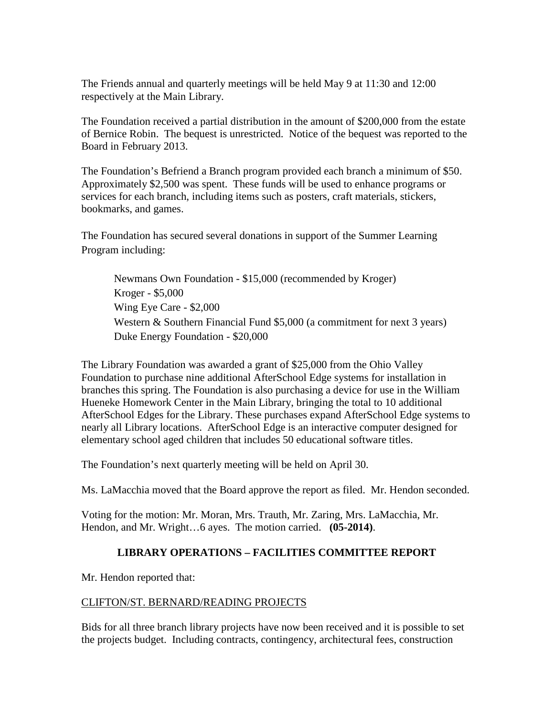The Friends annual and quarterly meetings will be held May 9 at 11:30 and 12:00 respectively at the Main Library.

The Foundation received a partial distribution in the amount of \$200,000 from the estate of Bernice Robin. The bequest is unrestricted. Notice of the bequest was reported to the Board in February 2013.

The Foundation's Befriend a Branch program provided each branch a minimum of \$50. Approximately \$2,500 was spent. These funds will be used to enhance programs or services for each branch, including items such as posters, craft materials, stickers, bookmarks, and games.

The Foundation has secured several donations in support of the Summer Learning Program including:

Newmans Own Foundation - \$15,000 (recommended by Kroger) Kroger - \$5,000 Wing Eye Care - \$2,000 Western & Southern Financial Fund \$5,000 (a commitment for next 3 years) Duke Energy Foundation - \$20,000

The Library Foundation was awarded a grant of \$25,000 from the Ohio Valley Foundation to purchase nine additional AfterSchool Edge systems for installation in branches this spring. The Foundation is also purchasing a device for use in the William Hueneke Homework Center in the Main Library, bringing the total to 10 additional AfterSchool Edges for the Library. These purchases expand AfterSchool Edge systems to nearly all Library locations. AfterSchool Edge is an interactive computer designed for elementary school aged children that includes 50 educational software titles.

The Foundation's next quarterly meeting will be held on April 30.

Ms. LaMacchia moved that the Board approve the report as filed. Mr. Hendon seconded.

Voting for the motion: Mr. Moran, Mrs. Trauth, Mr. Zaring, Mrs. LaMacchia, Mr. Hendon, and Mr. Wright…6 ayes. The motion carried. **(05-2014)**.

## **LIBRARY OPERATIONS – FACILITIES COMMITTEE REPORT**

Mr. Hendon reported that:

#### CLIFTON/ST. BERNARD/READING PROJECTS

Bids for all three branch library projects have now been received and it is possible to set the projects budget. Including contracts, contingency, architectural fees, construction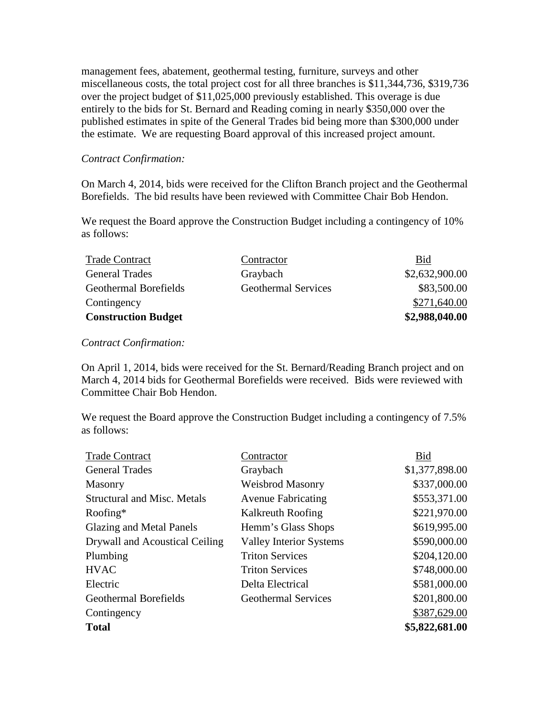management fees, abatement, geothermal testing, furniture, surveys and other miscellaneous costs, the total project cost for all three branches is \$11,344,736, \$319,736 over the project budget of \$11,025,000 previously established. This overage is due entirely to the bids for St. Bernard and Reading coming in nearly \$350,000 over the published estimates in spite of the General Trades bid being more than \$300,000 under the estimate. We are requesting Board approval of this increased project amount.

#### *Contract Confirmation:*

On March 4, 2014, bids were received for the Clifton Branch project and the Geothermal Borefields. The bid results have been reviewed with Committee Chair Bob Hendon.

We request the Board approve the Construction Budget including a contingency of 10% as follows:

| <b>Trade Contract</b>        | Contractor                 | Bid            |
|------------------------------|----------------------------|----------------|
| <b>General Trades</b>        | Graybach                   | \$2,632,900.00 |
| <b>Geothermal Borefields</b> | <b>Geothermal Services</b> | \$83,500.00    |
| Contingency                  |                            | \$271,640.00   |
| <b>Construction Budget</b>   |                            | \$2,988,040.00 |

*Contract Confirmation:*

On April 1, 2014, bids were received for the St. Bernard/Reading Branch project and on March 4, 2014 bids for Geothermal Borefields were received. Bids were reviewed with Committee Chair Bob Hendon.

We request the Board approve the Construction Budget including a contingency of 7.5% as follows:

| <b>Trade Contract</b>              | Contractor                     | Bid            |
|------------------------------------|--------------------------------|----------------|
| <b>General Trades</b>              | Graybach                       | \$1,377,898.00 |
| Masonry                            | Weisbrod Masonry               | \$337,000.00   |
| <b>Structural and Misc. Metals</b> | <b>Avenue Fabricating</b>      | \$553,371.00   |
| Roofing $*$                        | Kalkreuth Roofing              | \$221,970.00   |
| <b>Glazing and Metal Panels</b>    | Hemm's Glass Shops             | \$619,995.00   |
| Drywall and Acoustical Ceiling     | <b>Valley Interior Systems</b> | \$590,000.00   |
| Plumbing                           | <b>Triton Services</b>         | \$204,120.00   |
| <b>HVAC</b>                        | <b>Triton Services</b>         | \$748,000.00   |
| Electric                           | Delta Electrical               | \$581,000.00   |
| Geothermal Borefields              | <b>Geothermal Services</b>     | \$201,800.00   |
| Contingency                        |                                | \$387,629.00   |
| <b>Total</b>                       |                                | \$5,822,681.00 |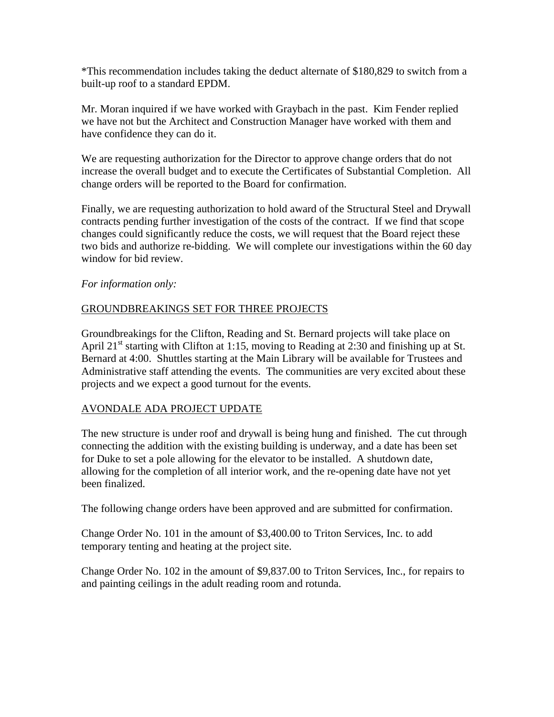\*This recommendation includes taking the deduct alternate of \$180,829 to switch from a built-up roof to a standard EPDM.

Mr. Moran inquired if we have worked with Graybach in the past. Kim Fender replied we have not but the Architect and Construction Manager have worked with them and have confidence they can do it.

We are requesting authorization for the Director to approve change orders that do not increase the overall budget and to execute the Certificates of Substantial Completion. All change orders will be reported to the Board for confirmation.

Finally, we are requesting authorization to hold award of the Structural Steel and Drywall contracts pending further investigation of the costs of the contract. If we find that scope changes could significantly reduce the costs, we will request that the Board reject these two bids and authorize re-bidding. We will complete our investigations within the 60 day window for bid review.

*For information only:*

## GROUNDBREAKINGS SET FOR THREE PROJECTS

Groundbreakings for the Clifton, Reading and St. Bernard projects will take place on April 21<sup>st</sup> starting with Clifton at 1:15, moving to Reading at 2:30 and finishing up at St. Bernard at 4:00. Shuttles starting at the Main Library will be available for Trustees and Administrative staff attending the events. The communities are very excited about these projects and we expect a good turnout for the events.

## AVONDALE ADA PROJECT UPDATE

The new structure is under roof and drywall is being hung and finished. The cut through connecting the addition with the existing building is underway, and a date has been set for Duke to set a pole allowing for the elevator to be installed. A shutdown date, allowing for the completion of all interior work, and the re-opening date have not yet been finalized.

The following change orders have been approved and are submitted for confirmation.

Change Order No. 101 in the amount of \$3,400.00 to Triton Services, Inc. to add temporary tenting and heating at the project site.

Change Order No. 102 in the amount of \$9,837.00 to Triton Services, Inc., for repairs to and painting ceilings in the adult reading room and rotunda.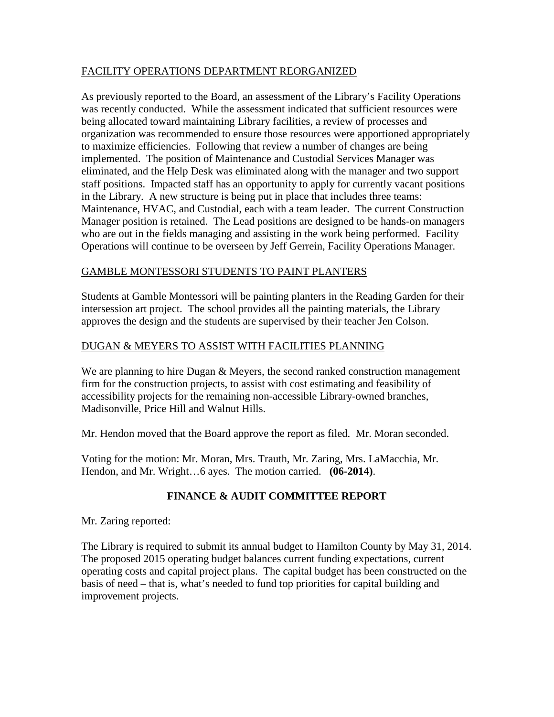## FACILITY OPERATIONS DEPARTMENT REORGANIZED

As previously reported to the Board, an assessment of the Library's Facility Operations was recently conducted. While the assessment indicated that sufficient resources were being allocated toward maintaining Library facilities, a review of processes and organization was recommended to ensure those resources were apportioned appropriately to maximize efficiencies. Following that review a number of changes are being implemented. The position of Maintenance and Custodial Services Manager was eliminated, and the Help Desk was eliminated along with the manager and two support staff positions. Impacted staff has an opportunity to apply for currently vacant positions in the Library. A new structure is being put in place that includes three teams: Maintenance, HVAC, and Custodial, each with a team leader. The current Construction Manager position is retained. The Lead positions are designed to be hands-on managers who are out in the fields managing and assisting in the work being performed. Facility Operations will continue to be overseen by Jeff Gerrein, Facility Operations Manager.

## GAMBLE MONTESSORI STUDENTS TO PAINT PLANTERS

Students at Gamble Montessori will be painting planters in the Reading Garden for their intersession art project. The school provides all the painting materials, the Library approves the design and the students are supervised by their teacher Jen Colson.

## DUGAN & MEYERS TO ASSIST WITH FACILITIES PLANNING

We are planning to hire Dugan & Meyers, the second ranked construction management firm for the construction projects, to assist with cost estimating and feasibility of accessibility projects for the remaining non-accessible Library-owned branches, Madisonville, Price Hill and Walnut Hills.

Mr. Hendon moved that the Board approve the report as filed. Mr. Moran seconded.

Voting for the motion: Mr. Moran, Mrs. Trauth, Mr. Zaring, Mrs. LaMacchia, Mr. Hendon, and Mr. Wright…6 ayes. The motion carried. **(06-2014)**.

## **FINANCE & AUDIT COMMITTEE REPORT**

Mr. Zaring reported:

The Library is required to submit its annual budget to Hamilton County by May 31, 2014. The proposed 2015 operating budget balances current funding expectations, current operating costs and capital project plans. The capital budget has been constructed on the basis of need – that is, what's needed to fund top priorities for capital building and improvement projects.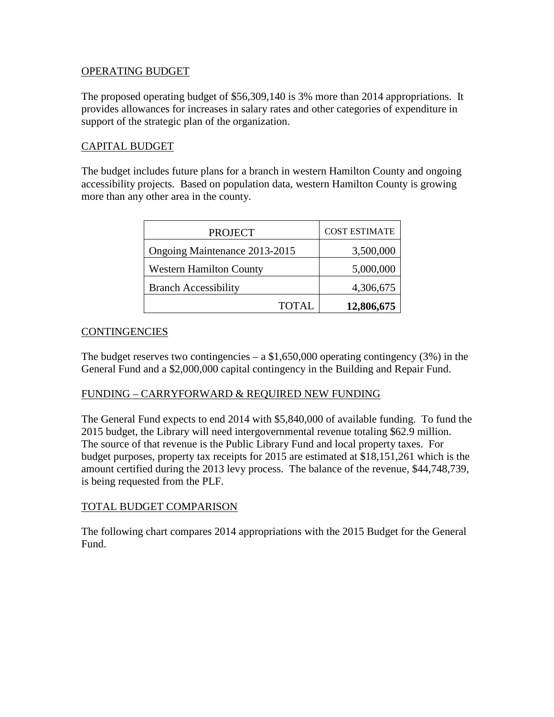#### OPERATING BUDGET

The proposed operating budget of \$56,309,140 is 3% more than 2014 appropriations. It provides allowances for increases in salary rates and other categories of expenditure in support of the strategic plan of the organization.

### CAPITAL BUDGET

The budget includes future plans for a branch in western Hamilton County and ongoing accessibility projects. Based on population data, western Hamilton County is growing more than any other area in the county.

| <b>PROJECT</b>                 | <b>COST ESTIMATE</b> |
|--------------------------------|----------------------|
| Ongoing Maintenance 2013-2015  | 3,500,000            |
| <b>Western Hamilton County</b> | 5,000,000            |
| <b>Branch Accessibility</b>    | 4,306,675            |
| <b>TOTAL</b>                   | 12,806,675           |

#### **CONTINGENCIES**

The budget reserves two contingencies  $- a $1,650,000$  operating contingency (3%) in the General Fund and a \$2,000,000 capital contingency in the Building and Repair Fund.

#### FUNDING – CARRYFORWARD & REQUIRED NEW FUNDING

The General Fund expects to end 2014 with \$5,840,000 of available funding. To fund the 2015 budget, the Library will need intergovernmental revenue totaling \$62.9 million. The source of that revenue is the Public Library Fund and local property taxes. For budget purposes, property tax receipts for 2015 are estimated at \$18,151,261 which is the amount certified during the 2013 levy process. The balance of the revenue, \$44,748,739, is being requested from the PLF.

#### TOTAL BUDGET COMPARISON

The following chart compares 2014 appropriations with the 2015 Budget for the General Fund.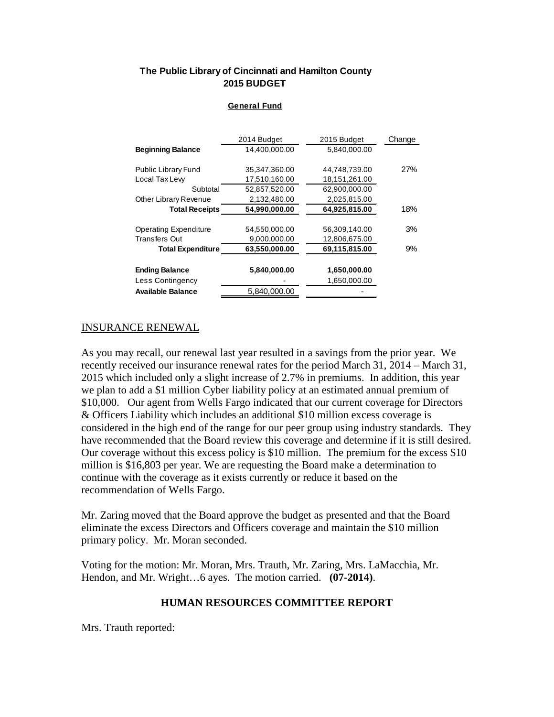#### **The Public Library of Cincinnati and Hamilton County 2015 BUDGET**

#### **General Fund**

|                            | 2014 Budget   | 2015 Budget   | Change |
|----------------------------|---------------|---------------|--------|
| <b>Beginning Balance</b>   | 14,400,000.00 | 5,840,000.00  |        |
|                            |               |               |        |
| <b>Public Library Fund</b> | 35,347,360.00 | 44,748,739.00 | 27%    |
| Local Tax Lew              | 17,510,160.00 | 18,151,261.00 |        |
| Subtotal                   | 52,857,520.00 | 62,900,000.00 |        |
| Other Library Revenue      | 2,132,480.00  | 2,025,815.00  |        |
| <b>Total Receipts</b>      | 54,990,000.00 | 64,925,815.00 | 18%    |
|                            |               |               |        |
| Operating Expenditure      | 54,550,000.00 | 56,309,140.00 | 3%     |
| <b>Transfers Out</b>       | 9,000,000.00  | 12,806,675.00 |        |
| <b>Total Expenditure</b>   | 63.550.000.00 | 69.115.815.00 | 9%     |
|                            | 5,840,000.00  | 1,650,000.00  |        |
| <b>Ending Balance</b>      |               |               |        |
| Less Contingency           |               | 1,650,000.00  |        |
| <b>Available Balance</b>   | 5,840,000.00  |               |        |

#### INSURANCE RENEWAL

As you may recall, our renewal last year resulted in a savings from the prior year. We recently received our insurance renewal rates for the period March 31, 2014 – March 31, 2015 which included only a slight increase of 2.7% in premiums. In addition, this year we plan to add a \$1 million Cyber liability policy at an estimated annual premium of \$10,000. Our agent from Wells Fargo indicated that our current coverage for Directors & Officers Liability which includes an additional \$10 million excess coverage is considered in the high end of the range for our peer group using industry standards. They have recommended that the Board review this coverage and determine if it is still desired. Our coverage without this excess policy is \$10 million. The premium for the excess \$10 million is \$16,803 per year. We are requesting the Board make a determination to continue with the coverage as it exists currently or reduce it based on the recommendation of Wells Fargo.

Mr. Zaring moved that the Board approve the budget as presented and that the Board eliminate the excess Directors and Officers coverage and maintain the \$10 million primary policy. Mr. Moran seconded.

Voting for the motion: Mr. Moran, Mrs. Trauth, Mr. Zaring, Mrs. LaMacchia, Mr. Hendon, and Mr. Wright…6 ayes. The motion carried. **(07-2014)**.

#### **HUMAN RESOURCES COMMITTEE REPORT**

Mrs. Trauth reported: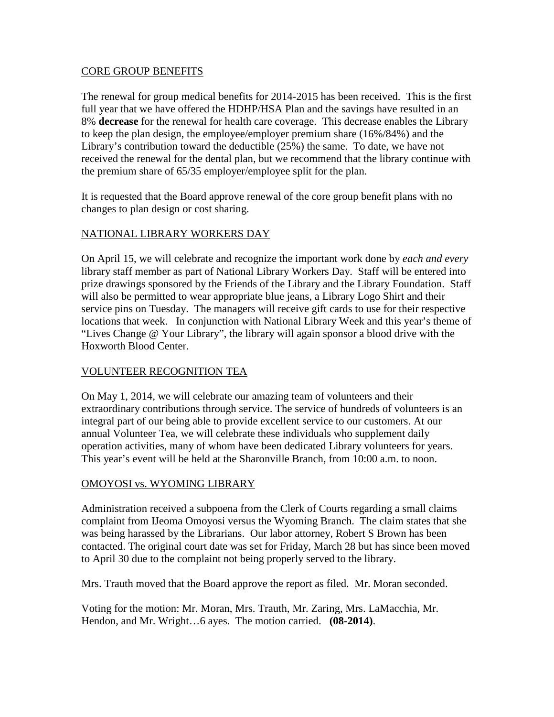#### CORE GROUP BENEFITS

The renewal for group medical benefits for 2014-2015 has been received. This is the first full year that we have offered the HDHP/HSA Plan and the savings have resulted in an 8% **decrease** for the renewal for health care coverage. This decrease enables the Library to keep the plan design, the employee/employer premium share (16%/84%) and the Library's contribution toward the deductible (25%) the same. To date, we have not received the renewal for the dental plan, but we recommend that the library continue with the premium share of 65/35 employer/employee split for the plan.

It is requested that the Board approve renewal of the core group benefit plans with no changes to plan design or cost sharing.

## NATIONAL LIBRARY WORKERS DAY

On April 15, we will celebrate and recognize the important work done by *each and every* library staff member as part of National Library Workers Day. Staff will be entered into prize drawings sponsored by the Friends of the Library and the Library Foundation. Staff will also be permitted to wear appropriate blue jeans, a Library Logo Shirt and their service pins on Tuesday. The managers will receive gift cards to use for their respective locations that week. In conjunction with National Library Week and this year's theme of "Lives Change @ Your Library", the library will again sponsor a blood drive with the Hoxworth Blood Center.

# VOLUNTEER RECOGNITION TEA

On May 1, 2014, we will celebrate our amazing team of volunteers and their extraordinary contributions through service. The service of hundreds of volunteers is an integral part of our being able to provide excellent service to our customers. At our annual Volunteer Tea, we will celebrate these individuals who supplement daily operation activities, many of whom have been dedicated Library volunteers for years. This year's event will be held at the Sharonville Branch, from 10:00 a.m. to noon.

## OMOYOSI vs. WYOMING LIBRARY

Administration received a subpoena from the Clerk of Courts regarding a small claims complaint from IJeoma Omoyosi versus the Wyoming Branch. The claim states that she was being harassed by the Librarians. Our labor attorney, Robert S Brown has been contacted. The original court date was set for Friday, March 28 but has since been moved to April 30 due to the complaint not being properly served to the library.

Mrs. Trauth moved that the Board approve the report as filed. Mr. Moran seconded.

Voting for the motion: Mr. Moran, Mrs. Trauth, Mr. Zaring, Mrs. LaMacchia, Mr. Hendon, and Mr. Wright…6 ayes. The motion carried. **(08-2014)**.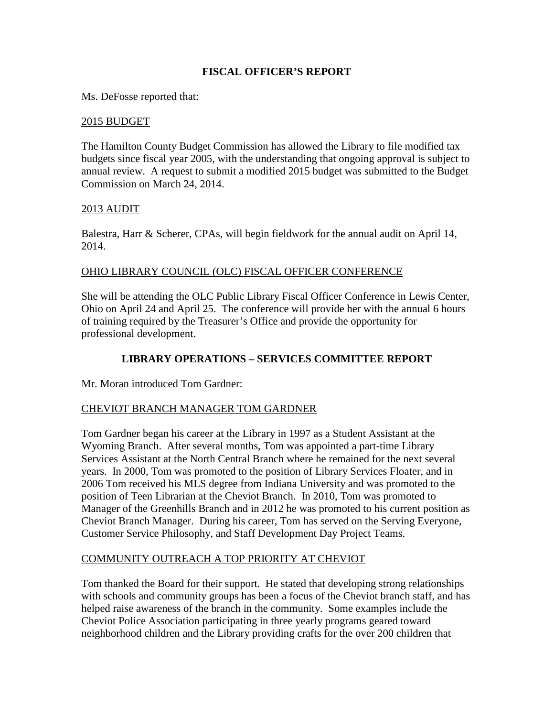## **FISCAL OFFICER'S REPORT**

Ms. DeFosse reported that:

#### 2015 BUDGET

The Hamilton County Budget Commission has allowed the Library to file modified tax budgets since fiscal year 2005, with the understanding that ongoing approval is subject to annual review. A request to submit a modified 2015 budget was submitted to the Budget Commission on March 24, 2014.

#### 2013 AUDIT

Balestra, Harr & Scherer, CPAs, will begin fieldwork for the annual audit on April 14, 2014.

#### OHIO LIBRARY COUNCIL (OLC) FISCAL OFFICER CONFERENCE

She will be attending the OLC Public Library Fiscal Officer Conference in Lewis Center, Ohio on April 24 and April 25. The conference will provide her with the annual 6 hours of training required by the Treasurer's Office and provide the opportunity for professional development.

## **LIBRARY OPERATIONS – SERVICES COMMITTEE REPORT**

Mr. Moran introduced Tom Gardner:

#### CHEVIOT BRANCH MANAGER TOM GARDNER

Tom Gardner began his career at the Library in 1997 as a Student Assistant at the Wyoming Branch. After several months, Tom was appointed a part-time Library Services Assistant at the North Central Branch where he remained for the next several years. In 2000, Tom was promoted to the position of Library Services Floater, and in 2006 Tom received his MLS degree from Indiana University and was promoted to the position of Teen Librarian at the Cheviot Branch. In 2010, Tom was promoted to Manager of the Greenhills Branch and in 2012 he was promoted to his current position as Cheviot Branch Manager. During his career, Tom has served on the Serving Everyone, Customer Service Philosophy, and Staff Development Day Project Teams.

#### COMMUNITY OUTREACH A TOP PRIORITY AT CHEVIOT

Tom thanked the Board for their support. He stated that developing strong relationships with schools and community groups has been a focus of the Cheviot branch staff, and has helped raise awareness of the branch in the community. Some examples include the Cheviot Police Association participating in three yearly programs geared toward neighborhood children and the Library providing crafts for the over 200 children that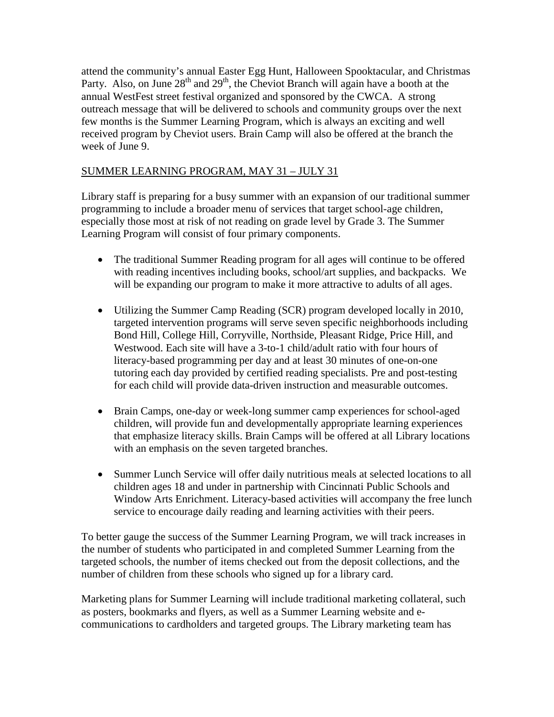attend the community's annual Easter Egg Hunt, Halloween Spooktacular, and Christmas Party. Also, on June 28<sup>th</sup> and 29<sup>th</sup>, the Cheviot Branch will again have a booth at the annual WestFest street festival organized and sponsored by the CWCA. A strong outreach message that will be delivered to schools and community groups over the next few months is the Summer Learning Program, which is always an exciting and well received program by Cheviot users. Brain Camp will also be offered at the branch the week of June 9.

# SUMMER LEARNING PROGRAM, MAY 31 – JULY 31

Library staff is preparing for a busy summer with an expansion of our traditional summer programming to include a broader menu of services that target school-age children, especially those most at risk of not reading on grade level by Grade 3. The Summer Learning Program will consist of four primary components.

- The traditional Summer Reading program for all ages will continue to be offered with reading incentives including books, school/art supplies, and backpacks. We will be expanding our program to make it more attractive to adults of all ages.
- Utilizing the Summer Camp Reading (SCR) program developed locally in 2010, targeted intervention programs will serve seven specific neighborhoods including Bond Hill, College Hill, Corryville, Northside, Pleasant Ridge, Price Hill, and Westwood. Each site will have a 3-to-1 child/adult ratio with four hours of literacy-based programming per day and at least 30 minutes of one-on-one tutoring each day provided by certified reading specialists. Pre and post-testing for each child will provide data-driven instruction and measurable outcomes.
- Brain Camps, one-day or week-long summer camp experiences for school-aged children, will provide fun and developmentally appropriate learning experiences that emphasize literacy skills. Brain Camps will be offered at all Library locations with an emphasis on the seven targeted branches.
- Summer Lunch Service will offer daily nutritious meals at selected locations to all children ages 18 and under in partnership with Cincinnati Public Schools and Window Arts Enrichment. Literacy-based activities will accompany the free lunch service to encourage daily reading and learning activities with their peers.

To better gauge the success of the Summer Learning Program, we will track increases in the number of students who participated in and completed Summer Learning from the targeted schools, the number of items checked out from the deposit collections, and the number of children from these schools who signed up for a library card.

Marketing plans for Summer Learning will include traditional marketing collateral, such as posters, bookmarks and flyers, as well as a Summer Learning website and ecommunications to cardholders and targeted groups. The Library marketing team has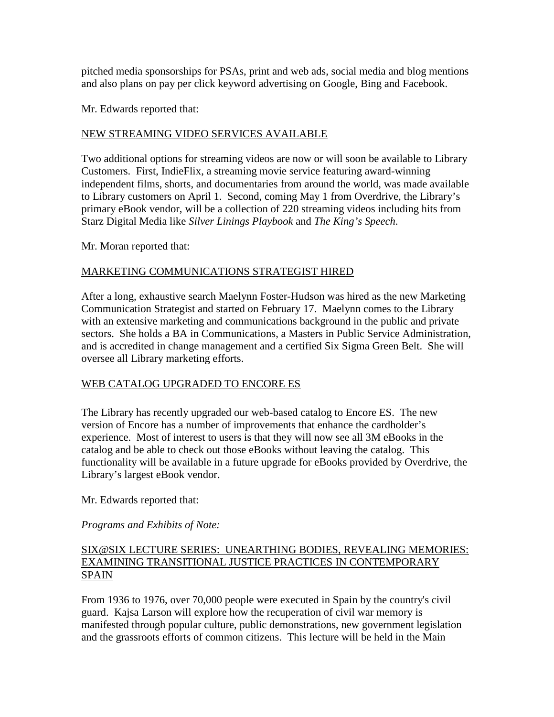pitched media sponsorships for PSAs, print and web ads, social media and blog mentions and also plans on pay per click keyword advertising on Google, Bing and Facebook.

Mr. Edwards reported that:

## NEW STREAMING VIDEO SERVICES AVAILABLE

Two additional options for streaming videos are now or will soon be available to Library Customers. First, IndieFlix, a streaming movie service featuring award-winning independent films, shorts, and documentaries from around the world, was made available to Library customers on April 1. Second, coming May 1 from Overdrive, the Library's primary eBook vendor, will be a collection of 220 streaming videos including hits from Starz Digital Media like *Silver Linings Playbook* and *The King's Speech*.

Mr. Moran reported that:

## MARKETING COMMUNICATIONS STRATEGIST HIRED

After a long, exhaustive search Maelynn Foster-Hudson was hired as the new Marketing Communication Strategist and started on February 17. Maelynn comes to the Library with an extensive marketing and communications background in the public and private sectors. She holds a BA in Communications, a Masters in Public Service Administration, and is accredited in change management and a certified Six Sigma Green Belt. She will oversee all Library marketing efforts.

## WEB CATALOG UPGRADED TO ENCORE ES

The Library has recently upgraded our web-based catalog to Encore ES. The new version of Encore has a number of improvements that enhance the cardholder's experience. Most of interest to users is that they will now see all 3M eBooks in the catalog and be able to check out those eBooks without leaving the catalog. This functionality will be available in a future upgrade for eBooks provided by Overdrive, the Library's largest eBook vendor.

Mr. Edwards reported that:

## *Programs and Exhibits of Note:*

## SIX@SIX LECTURE SERIES: UNEARTHING BODIES, REVEALING MEMORIES: EXAMINING TRANSITIONAL JUSTICE PRACTICES IN CONTEMPORARY SPAIN

From 1936 to 1976, over 70,000 people were executed in Spain by the country's civil guard. Kajsa Larson will explore how the recuperation of civil war memory is manifested through popular culture, public demonstrations, new government legislation and the grassroots efforts of common citizens. This lecture will be held in the Main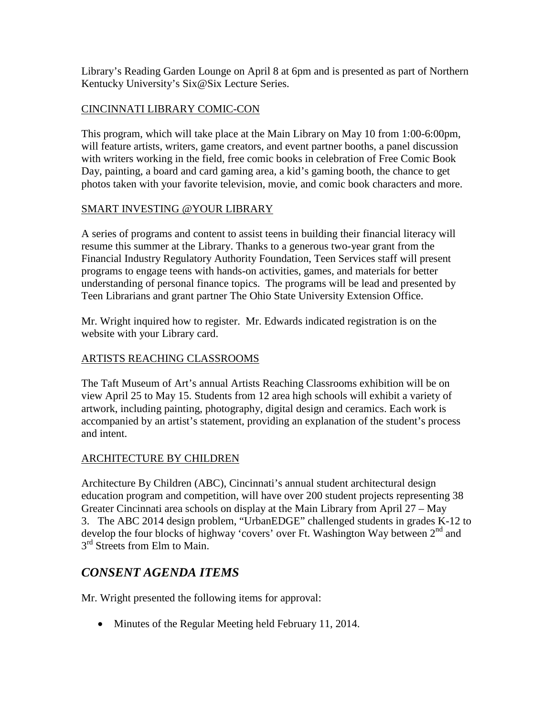Library's Reading Garden Lounge on April 8 at 6pm and is presented as part of Northern Kentucky University's Six@Six Lecture Series.

## CINCINNATI LIBRARY COMIC-CON

This program, which will take place at the Main Library on May 10 from 1:00-6:00pm, will feature artists, writers, game creators, and event partner booths, a panel discussion with writers working in the field, free comic books in celebration of Free Comic Book Day, painting, a board and card gaming area, a kid's gaming booth, the chance to get photos taken with your favorite television, movie, and comic book characters and more.

## SMART INVESTING @YOUR LIBRARY

A series of programs and content to assist teens in building their financial literacy will resume this summer at the Library. Thanks to a generous two-year grant from the Financial Industry Regulatory Authority Foundation, Teen Services staff will present programs to engage teens with hands-on activities, games, and materials for better understanding of personal finance topics. The programs will be lead and presented by Teen Librarians and grant partner The Ohio State University Extension Office.

Mr. Wright inquired how to register. Mr. Edwards indicated registration is on the website with your Library card.

## ARTISTS REACHING CLASSROOMS

The Taft Museum of Art's annual Artists Reaching Classrooms exhibition will be on view April 25 to May 15. Students from 12 area high schools will exhibit a variety of artwork, including painting, photography, digital design and ceramics. Each work is accompanied by an artist's statement, providing an explanation of the student's process and intent.

## ARCHITECTURE BY CHILDREN

Architecture By Children (ABC), Cincinnati's annual student architectural design education program and competition, will have over 200 student projects representing 38 Greater Cincinnati area schools on display at the Main Library from April 27 – May 3. The ABC 2014 design problem, "UrbanEDGE" challenged students in grades K-12 to develop the four blocks of highway 'covers' over Ft. Washington Way between  $2<sup>nd</sup>$  and 3<sup>rd</sup> Streets from Elm to Main.

# *CONSENT AGENDA ITEMS*

Mr. Wright presented the following items for approval:

• Minutes of the Regular Meeting held February 11, 2014.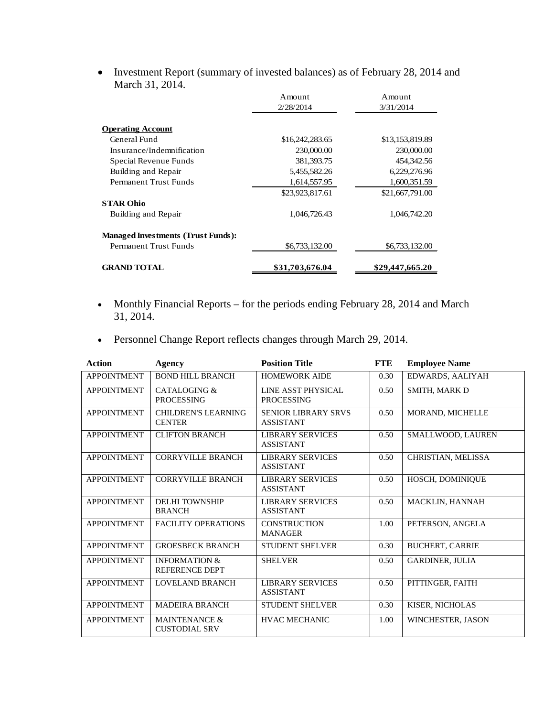• Investment Report (summary of invested balances) as of February 28, 2014 and March 31, 2014.

|                                           | Amount          | Amount          |
|-------------------------------------------|-----------------|-----------------|
|                                           | 2/28/2014       | 3/31/2014       |
| <b>Operating Account</b>                  |                 |                 |
| General Fund                              | \$16,242,283.65 | \$13,153,819.89 |
| Insurance/Indemnification                 | 230,000.00      | 230,000.00      |
| Special Revenue Funds                     | 381, 393. 75    | 454,342.56      |
| Building and Repair                       | 5,455,582.26    | 6,229,276.96    |
| Permanent Trust Funds                     | 1,614,557.95    | 1,600,351.59    |
|                                           | \$23,923,817.61 | \$21,667,791.00 |
| <b>STAR Ohio</b>                          |                 |                 |
| Building and Repair                       | 1,046,726.43    | 1,046,742.20    |
| <b>Managed Investments (Trust Funds):</b> |                 |                 |
| Permanent Trust Funds                     | \$6,733,132.00  | \$6,733,132.00  |
| <b>GRAND TOTAL</b>                        | \$31,703,676.04 | \$29,447,665.20 |

- Monthly Financial Reports for the periods ending February 28, 2014 and March 31, 2014.
- Personnel Change Report reflects changes through March 29, 2014.

| <b>Action</b>      | Agency                                            | <b>Position Title</b>                          | <b>FTE</b> | <b>Employee Name</b>     |
|--------------------|---------------------------------------------------|------------------------------------------------|------------|--------------------------|
| <b>APPOINTMENT</b> | <b>BOND HILL BRANCH</b>                           | <b>HOMEWORK AIDE</b>                           | 0.30       | EDWARDS, AALIYAH         |
| <b>APPOINTMENT</b> | CATALOGING &<br><b>PROCESSING</b>                 | LINE ASST PHYSICAL<br><b>PROCESSING</b>        | 0.50       | <b>SMITH, MARK D</b>     |
| <b>APPOINTMENT</b> | <b>CHILDREN'S LEARNING</b><br><b>CENTER</b>       | <b>SENIOR LIBRARY SRVS</b><br><b>ASSISTANT</b> | 0.50       | MORAND, MICHELLE         |
| <b>APPOINTMENT</b> | <b>CLIFTON BRANCH</b>                             | <b>LIBRARY SERVICES</b><br><b>ASSISTANT</b>    | 0.50       | SMALLWOOD, LAUREN        |
| <b>APPOINTMENT</b> | <b>CORRYVILLE BRANCH</b>                          | <b>LIBRARY SERVICES</b><br><b>ASSISTANT</b>    | 0.50       | CHRISTIAN, MELISSA       |
| <b>APPOINTMENT</b> | <b>CORRYVILLE BRANCH</b>                          | <b>LIBRARY SERVICES</b><br><b>ASSISTANT</b>    | 0.50       | HOSCH, DOMINIQUE         |
| <b>APPOINTMENT</b> | <b>DELHI TOWNSHIP</b><br><b>BRANCH</b>            | <b>LIBRARY SERVICES</b><br><b>ASSISTANT</b>    | 0.50       | MACKLIN, HANNAH          |
| <b>APPOINTMENT</b> | <b>FACILITY OPERATIONS</b>                        | <b>CONSTRUCTION</b><br><b>MANAGER</b>          | 1.00       | PETERSON, ANGELA         |
| <b>APPOINTMENT</b> | <b>GROESBECK BRANCH</b>                           | <b>STUDENT SHELVER</b>                         | 0.30       | <b>BUCHERT, CARRIE</b>   |
| <b>APPOINTMENT</b> | <b>INFORMATION &amp;</b><br><b>REFERENCE DEPT</b> | <b>SHELVER</b>                                 | 0.50       | <b>GARDINER, JULIA</b>   |
| <b>APPOINTMENT</b> | <b>LOVELAND BRANCH</b>                            | <b>LIBRARY SERVICES</b><br><b>ASSISTANT</b>    | 0.50       | PITTINGER, FAITH         |
| <b>APPOINTMENT</b> | <b>MADEIRA BRANCH</b>                             | <b>STUDENT SHELVER</b>                         | 0.30       | KISER, NICHOLAS          |
| <b>APPOINTMENT</b> | MAINTENANCE &<br><b>CUSTODIAL SRV</b>             | <b>HVAC MECHANIC</b>                           | 1.00       | <b>WINCHESTER, JASON</b> |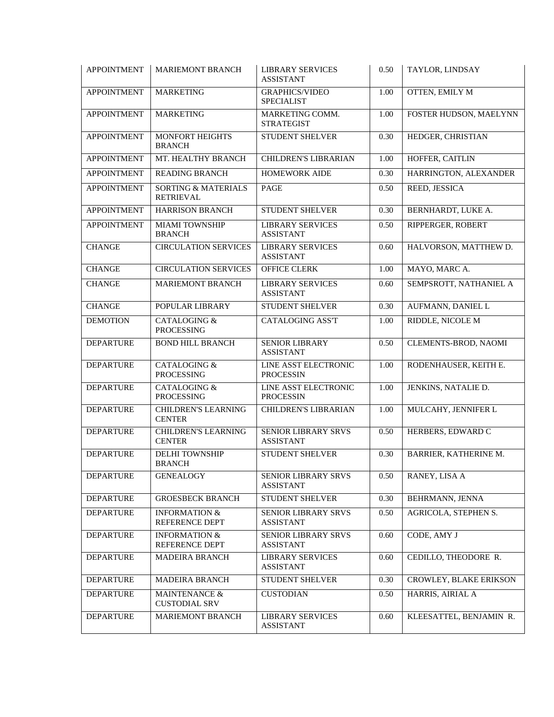| <b>APPOINTMENT</b> | <b>MARIEMONT BRANCH</b>                            | <b>LIBRARY SERVICES</b><br><b>ASSISTANT</b>    | 0.50 | TAYLOR, LINDSAY               |
|--------------------|----------------------------------------------------|------------------------------------------------|------|-------------------------------|
| <b>APPOINTMENT</b> | <b>MARKETING</b>                                   | <b>GRAPHICS/VIDEO</b><br><b>SPECIALIST</b>     | 1.00 | <b>OTTEN, EMILY M</b>         |
| <b>APPOINTMENT</b> | <b>MARKETING</b>                                   | MARKETING COMM.<br><b>STRATEGIST</b>           | 1.00 | FOSTER HUDSON, MAELYNN        |
| <b>APPOINTMENT</b> | MONFORT HEIGHTS<br><b>BRANCH</b>                   | STUDENT SHELVER                                | 0.30 | HEDGER, CHRISTIAN             |
| <b>APPOINTMENT</b> | MT. HEALTHY BRANCH                                 | <b>CHILDREN'S LIBRARIAN</b>                    | 1.00 | HOFFER, CAITLIN               |
| <b>APPOINTMENT</b> | <b>READING BRANCH</b>                              | <b>HOMEWORK AIDE</b>                           | 0.30 | HARRINGTON, ALEXANDER         |
| <b>APPOINTMENT</b> | <b>SORTING &amp; MATERIALS</b><br><b>RETRIEVAL</b> | PAGE                                           | 0.50 | REED, JESSICA                 |
| <b>APPOINTMENT</b> | <b>HARRISON BRANCH</b>                             | STUDENT SHELVER                                | 0.30 | BERNHARDT, LUKE A.            |
| <b>APPOINTMENT</b> | <b>MIAMI TOWNSHIP</b><br><b>BRANCH</b>             | <b>LIBRARY SERVICES</b><br><b>ASSISTANT</b>    | 0.50 | RIPPERGER, ROBERT             |
| <b>CHANGE</b>      | <b>CIRCULATION SERVICES</b>                        | <b>LIBRARY SERVICES</b><br><b>ASSISTANT</b>    | 0.60 | HALVORSON, MATTHEW D.         |
| <b>CHANGE</b>      | <b>CIRCULATION SERVICES</b>                        | <b>OFFICE CLERK</b>                            | 1.00 | MAYO, MARC A.                 |
| <b>CHANGE</b>      | <b>MARIEMONT BRANCH</b>                            | <b>LIBRARY SERVICES</b><br><b>ASSISTANT</b>    | 0.60 | SEMPSROTT, NATHANIEL A        |
| <b>CHANGE</b>      | POPULAR LIBRARY                                    | <b>STUDENT SHELVER</b>                         | 0.30 | AUFMANN, DANIEL L             |
| <b>DEMOTION</b>    | <b>CATALOGING &amp;</b><br><b>PROCESSING</b>       | <b>CATALOGING ASS'T</b>                        | 1.00 | RIDDLE, NICOLE M              |
| <b>DEPARTURE</b>   | <b>BOND HILL BRANCH</b>                            | <b>SENIOR LIBRARY</b><br><b>ASSISTANT</b>      | 0.50 | CLEMENTS-BROD, NAOMI          |
| <b>DEPARTURE</b>   | <b>CATALOGING &amp;</b><br><b>PROCESSING</b>       | LINE ASST ELECTRONIC<br><b>PROCESSIN</b>       | 1.00 | RODENHAUSER, KEITH E.         |
| <b>DEPARTURE</b>   | <b>CATALOGING &amp;</b><br><b>PROCESSING</b>       | LINE ASST ELECTRONIC<br><b>PROCESSIN</b>       | 1.00 | JENKINS, NATALIE D.           |
| <b>DEPARTURE</b>   | <b>CHILDREN'S LEARNING</b><br><b>CENTER</b>        | CHILDREN'S LIBRARIAN                           | 1.00 | MULCAHY, JENNIFER L           |
| <b>DEPARTURE</b>   | <b>CHILDREN'S LEARNING</b><br><b>CENTER</b>        | <b>SENIOR LIBRARY SRVS</b><br><b>ASSISTANT</b> | 0.50 | HERBERS, EDWARD C             |
| <b>DEPARTURE</b>   | <b>DELHI TOWNSHIP</b><br><b>BRANCH</b>             | <b>STUDENT SHELVER</b>                         | 0.30 | BARRIER, KATHERINE M.         |
| <b>DEPARTURE</b>   | <b>GENEALOGY</b>                                   | SENIOR LIBRARY SRVS<br><b>ASSISTANT</b>        | 0.50 | RANEY, LISA A                 |
| <b>DEPARTURE</b>   | <b>GROESBECK BRANCH</b>                            | STUDENT SHELVER                                | 0.30 | BEHRMANN, JENNA               |
| <b>DEPARTURE</b>   | <b>INFORMATION &amp;</b><br>REFERENCE DEPT         | <b>SENIOR LIBRARY SRVS</b><br><b>ASSISTANT</b> | 0.50 | AGRICOLA, STEPHEN S.          |
| <b>DEPARTURE</b>   | <b>INFORMATION &amp;</b><br>REFERENCE DEPT         | SENIOR LIBRARY SRVS<br><b>ASSISTANT</b>        | 0.60 | CODE, AMY J                   |
| <b>DEPARTURE</b>   | <b>MADEIRA BRANCH</b>                              | <b>LIBRARY SERVICES</b><br><b>ASSISTANT</b>    | 0.60 | CEDILLO, THEODORE R.          |
| <b>DEPARTURE</b>   | <b>MADEIRA BRANCH</b>                              | <b>STUDENT SHELVER</b>                         | 0.30 | <b>CROWLEY, BLAKE ERIKSON</b> |
| <b>DEPARTURE</b>   | MAINTENANCE &<br><b>CUSTODIAL SRV</b>              | <b>CUSTODIAN</b>                               | 0.50 | HARRIS, AIRIAL A              |
| <b>DEPARTURE</b>   | <b>MARIEMONT BRANCH</b>                            | <b>LIBRARY SERVICES</b><br><b>ASSISTANT</b>    | 0.60 | KLEESATTEL, BENJAMIN R.       |